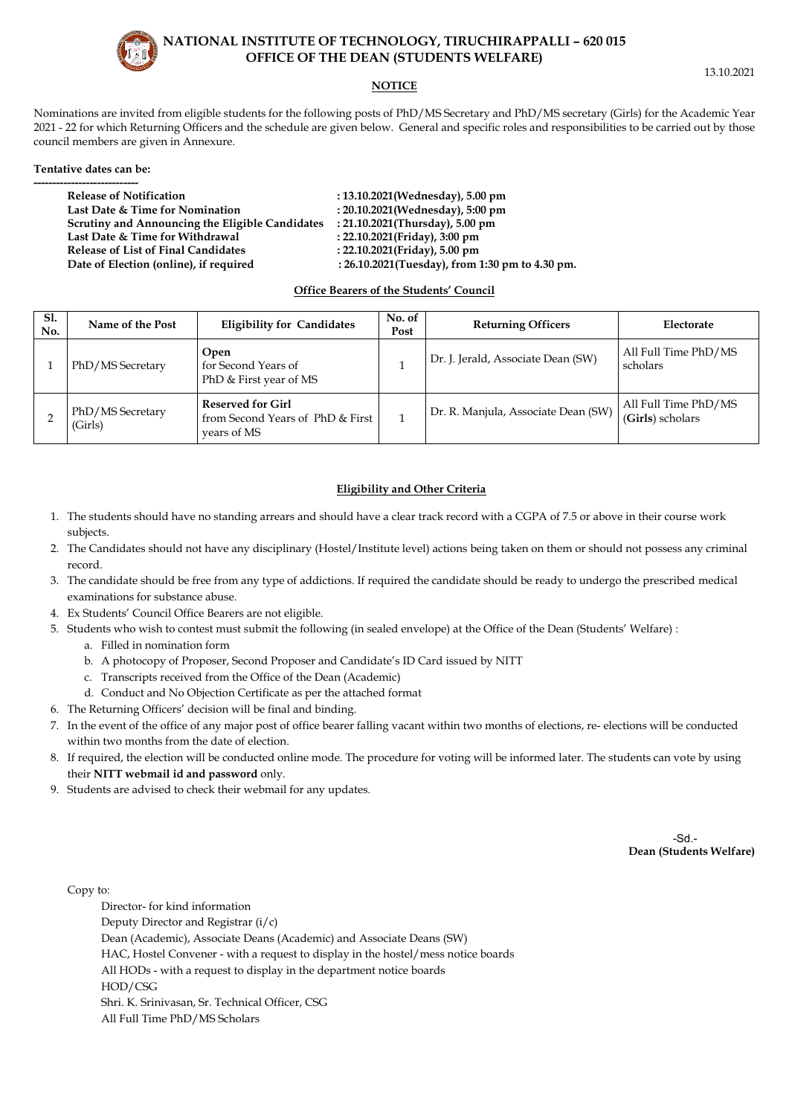# **NATIONAL INSTITUTE OF TECHNOLOGY, TIRUCHIRAPPALLI – 620 015 OFFICE OF THE DEAN (STUDENTS WELFARE)**

# **NOTICE**

Nominations are invited from eligible students for the following posts of PhD/MS Secretary and PhD/MS secretary (Girls) for the Academic Year 2021 - 22 for which Returning Officers and the schedule are given below. General and specific roles and responsibilities to be carried out by those council members are given in Annexure.

## **Tentative dates can be:**

| <b>Release of Notification</b>                  | : 13.10.2021(Wednesday), 5.00 pm                |
|-------------------------------------------------|-------------------------------------------------|
| Last Date & Time for Nomination                 | : 20.10.2021(Wednesday), 5:00 pm                |
| Scrutiny and Announcing the Eligible Candidates | : 21.10.2021(Thursday), 5.00 pm                 |
| Last Date & Time for Withdrawal                 | : 22.10.2021(Friday), 3:00 pm                   |
| <b>Release of List of Final Candidates</b>      | : 22.10.2021(Friday), 5.00 pm                   |
| Date of Election (online), if required          | : 26.10.2021(Tuesday), from 1:30 pm to 4.30 pm. |
|                                                 |                                                 |

## **Office Bearers of the Students' Council**

| <b>S1.</b><br>No. | Name of the Post            | <b>Eligibility for Candidates</b>                                           | No. of<br>Post | <b>Returning Officers</b>           | Electorate                               |
|-------------------|-----------------------------|-----------------------------------------------------------------------------|----------------|-------------------------------------|------------------------------------------|
|                   | PhD/MS Secretary            | Open<br>for Second Years of<br>PhD & First year of MS                       |                | Dr. J. Jerald, Associate Dean (SW)  | All Full Time PhD/MS<br>scholars         |
|                   | PhD/MS Secretary<br>(Girls) | <b>Reserved for Girl</b><br>from Second Years of PhD & First<br>vears of MS |                | Dr. R. Manjula, Associate Dean (SW) | All Full Time PhD/MS<br>(Girls) scholars |

# **Eligibility and Other Criteria**

- 1. The students should have no standing arrears and should have a clear track record with a CGPA of 7.5 or above in their course work subjects.
- 2. The Candidates should not have any disciplinary (Hostel/Institute level) actions being taken on them or should not possess any criminal record.
- 3. The candidate should be free from any type of addictions. If required the candidate should be ready to undergo the prescribed medical examinations for substance abuse.
- 4. Ex Students' Council Office Bearers are not eligible.
- 5. Students who wish to contest must submit the following (in sealed envelope) at the Office of the Dean (Students' Welfare) :
	- a. Filled in nomination form
	- b. A photocopy of Proposer, Second Proposer and Candidate's ID Card issued by NITT
	- c. Transcripts received from the Office of the Dean (Academic)
	- d. Conduct and No Objection Certificate as per the attached format
- 6. The Returning Officers' decision will be final and binding.
- 7. In the event of the office of any major post of office bearer falling vacant within two months of elections, re- elections will be conducted within two months from the date of election.
- 8. If required, the election will be conducted online mode. The procedure for voting will be informed later. The students can vote by using their **NITT webmail id and password** only.
- 9. Students are advised to check their webmail for any updates.

**Dean (Students Welfare)** 

Copy to:

 Director- for kind information Deputy Director and Registrar (i/c) Dean (Academic), Associate Deans (Academic) and Associate Deans (SW) HAC, Hostel Convener - with a request to display in the hostel/mess notice boards All HODs - with a request to display in the department notice boards HOD/CSG Shri. K. Srinivasan, Sr. Technical Officer, CSG All Full Time PhD/MS Scholars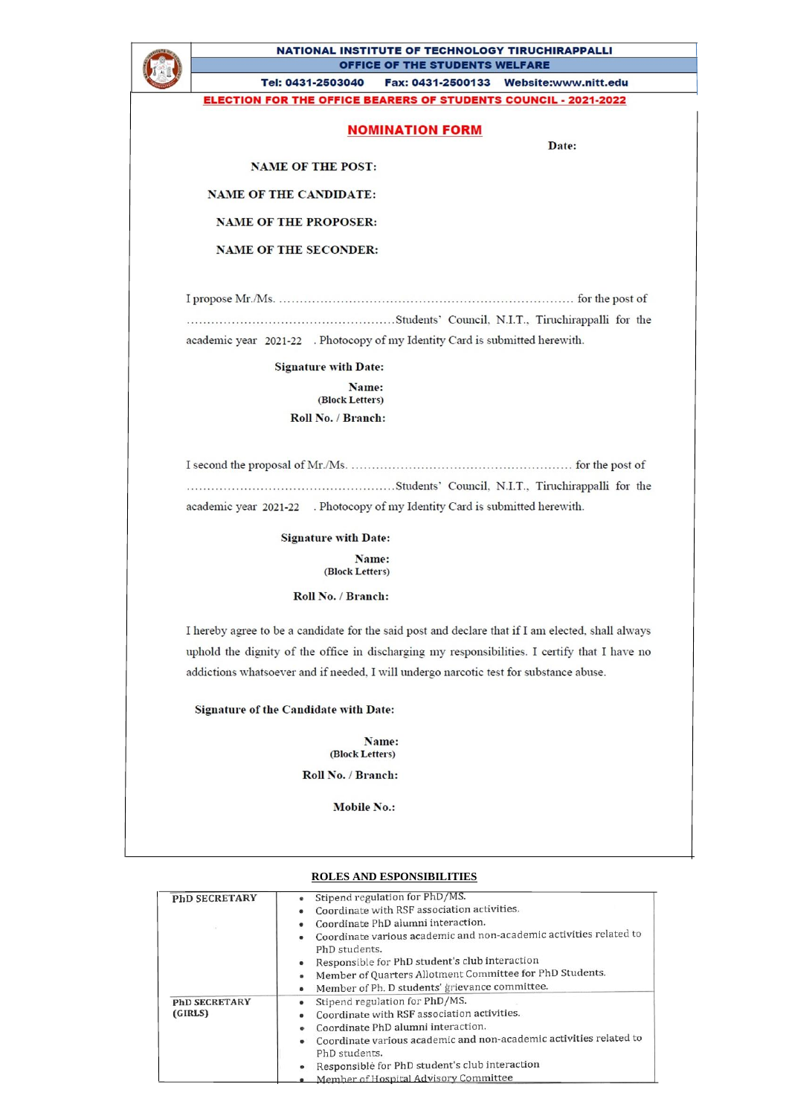

### NATIONAL INSTITUTE OF TECHNOLOGY TIRUCHIRAPPALLI OFFICE OF THE STUDENTS WELFARE

Tel: 0431-2503040 Fax: 0431-2500133 Website:www.nitt.edu

**ELECTION FOR THE OFFICE BEARERS OF STUDENTS COUNCIL - 2021-2022** 

|  |  | <b>NOMINATION FORM</b> |  |
|--|--|------------------------|--|
|  |  |                        |  |

Date:

**NAME OF THE POST:** 

**NAME OF THE CANDIDATE:** 

**NAME OF THE PROPOSER:** 

**NAME OF THE SECONDER:** 

academic year 2021-22 . Photocopy of my Identity Card is submitted herewith.

**Signature with Date:** 

Name: (Block Letters) Roll No. / Branch:

academic year 2021-22 . Photocopy of my Identity Card is submitted herewith.

> **Signature with Date:** Name:

(Block Letters)

Roll No. / Branch:

I hereby agree to be a candidate for the said post and declare that if I am elected, shall always uphold the dignity of the office in discharging my responsibilities. I certify that I have no addictions whatsoever and if needed, I will undergo narcotic test for substance abuse.

**Signature of the Candidate with Date:** 

Name: (Block Letters)

Roll No. / Branch:

**Mobile No.:** 

### **ROLES AND ESPONSIBILITIES**

| <b>PhD SECRETARY</b> | Stipend regulation for PhD/MS.                                          |
|----------------------|-------------------------------------------------------------------------|
|                      | Coordinate with RSF association activities.<br>۰                        |
|                      | Coordinate PhD alumni interaction.<br>٠                                 |
|                      | Coordinate various academic and non-academic activities related to<br>٠ |
|                      | PhD students.                                                           |
|                      | Responsible for PhD student's club interaction<br>۰                     |
|                      | Member of Quarters Allotment Committee for PhD Students.<br>۰           |
|                      | Member of Ph. D students' grievance committee.<br>۰                     |
| <b>PhD SECRETARY</b> | Stipend regulation for PhD/MS.<br>٠                                     |
| (GIRLS)              | Coordinate with RSF association activities.<br>۰                        |
|                      | Coordinate PhD alumni interaction.                                      |
|                      | Coordinate various academic and non-academic activities related to      |
|                      | PhD students.                                                           |
|                      | Responsible for PhD student's club interaction                          |
|                      | Member of Hospital Advisory Committee                                   |